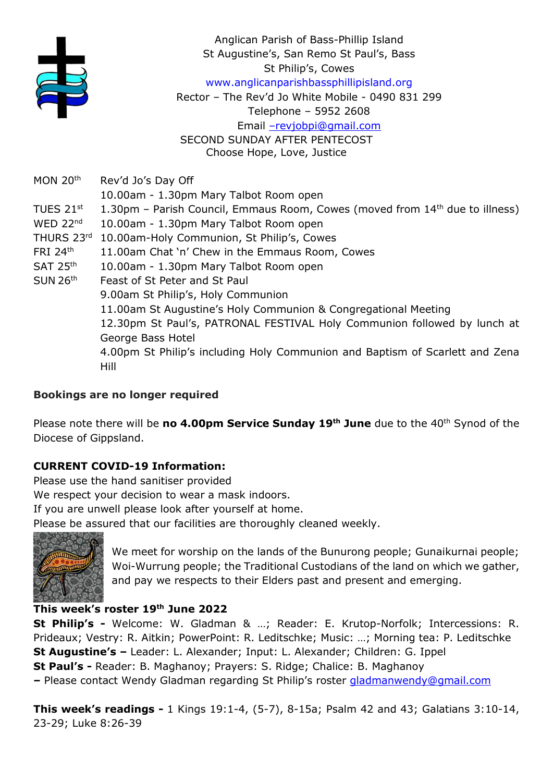

Anglican Parish of Bass-Phillip Island St Augustine's, San Remo St Paul's, Bass St Philip's, Cowes www.anglicanparishbassphillipisland.org Rector – The Rev'd Jo White Mobile - 0490 831 299 Telephone – 5952 2608

Email –revjobpi@gmail.com

SECOND SUNDAY AFTER PENTECOST

Choose Hope, Love, Justice

MON 20<sup>th</sup> Rev'd Jo's Day Off 10.00am - 1.30pm Mary Talbot Room open TUES  $21^{st}$  1.30pm – Parish Council, Emmaus Room, Cowes (moved from  $14^{th}$  due to illness) WED 22nd 10.00am - 1.30pm Mary Talbot Room open THURS 23rd 10.00am-Holy Communion, St Philip's, Cowes FRI 24<sup>th</sup> 11.00am Chat 'n' Chew in the Emmaus Room, Cowes  $SAT 25<sup>th</sup>$  10.00am - 1.30pm Mary Talbot Room open SUN 26<sup>th</sup> Feast of St Peter and St Paul 9.00am St Philip's, Holy Communion 11.00am St Augustine's Holy Communion & Congregational Meeting 12.30pm St Paul's, PATRONAL FESTIVAL Holy Communion followed by lunch at George Bass Hotel 4.00pm St Philip's including Holy Communion and Baptism of Scarlett and Zena Hill

# Bookings are no longer required

Please note there will be no 4.00pm Service Sunday 19<sup>th</sup> June due to the 40<sup>th</sup> Synod of the Diocese of Gippsland.

# CURRENT COVID-19 Information:

Please use the hand sanitiser provided We respect your decision to wear a mask indoors. If you are unwell please look after yourself at home. Please be assured that our facilities are thoroughly cleaned weekly.



We meet for worship on the lands of the Bunurong people; Gunaikurnai people; Woi-Wurrung people; the Traditional Custodians of the land on which we gather, and pay we respects to their Elders past and present and emerging.

# This week's roster 19th June 2022

St Philip's - Welcome: W. Gladman & …; Reader: E. Krutop-Norfolk; Intercessions: R. Prideaux; Vestry: R. Aitkin; PowerPoint: R. Leditschke; Music: …; Morning tea: P. Leditschke St Augustine's – Leader: L. Alexander; Input: L. Alexander; Children: G. Ippel St Paul's - Reader: B. Maghanoy; Prayers: S. Ridge; Chalice: B. Maghanoy – Please contact Wendy Gladman regarding St Philip's roster gladmanwendy@gmail.com

This week's readings - 1 Kings 19:1-4, (5-7), 8-15a; Psalm 42 and 43; Galatians 3:10-14, 23-29; Luke 8:26-39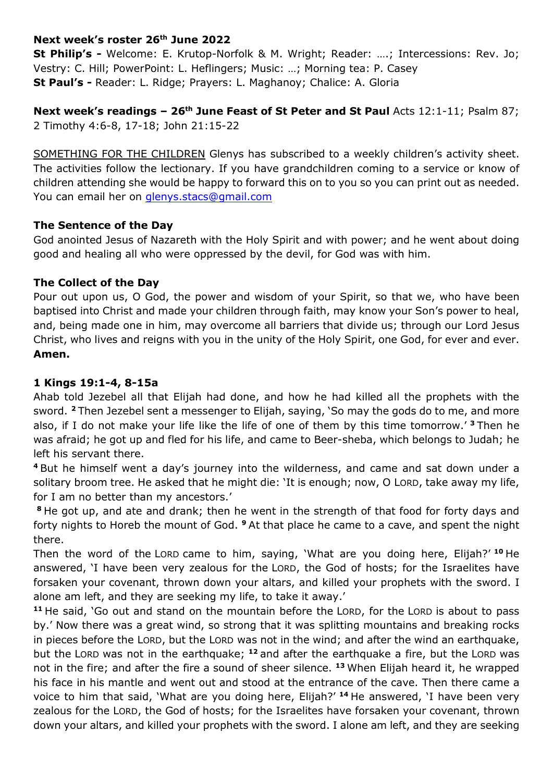#### Next week's roster 26<sup>th</sup> June 2022

St Philip's - Welcome: E. Krutop-Norfolk & M. Wright; Reader: ….; Intercessions: Rev. Jo; Vestry: C. Hill; PowerPoint: L. Heflingers; Music: …; Morning tea: P. Casey St Paul's - Reader: L. Ridge; Prayers: L. Maghanoy; Chalice: A. Gloria

Next week's readings -  $26<sup>th</sup>$  June Feast of St Peter and St Paul Acts 12:1-11; Psalm 87; 2 Timothy 4:6-8, 17-18; John 21:15-22

SOMETHING FOR THE CHILDREN Glenys has subscribed to a weekly children's activity sheet. The activities follow the lectionary. If you have grandchildren coming to a service or know of children attending she would be happy to forward this on to you so you can print out as needed. You can email her on glenys.stacs@gmail.com

#### The Sentence of the Day

God anointed Jesus of Nazareth with the Holy Spirit and with power; and he went about doing good and healing all who were oppressed by the devil, for God was with him.

#### The Collect of the Day

Pour out upon us, O God, the power and wisdom of your Spirit, so that we, who have been baptised into Christ and made your children through faith, may know your Son's power to heal, and, being made one in him, may overcome all barriers that divide us; through our Lord Jesus Christ, who lives and reigns with you in the unity of the Holy Spirit, one God, for ever and ever. Amen.

# 1 Kings 19:1-4, 8-15a

Ahab told Jezebel all that Elijah had done, and how he had killed all the prophets with the sword. <sup>2</sup> Then Jezebel sent a messenger to Elijah, saying, 'So may the gods do to me, and more also, if I do not make your life like the life of one of them by this time tomorrow.'<sup>3</sup> Then he was afraid; he got up and fled for his life, and came to Beer-sheba, which belongs to Judah; he left his servant there.

<sup>4</sup> But he himself went a day's journey into the wilderness, and came and sat down under a solitary broom tree. He asked that he might die: 'It is enough; now, O LORD, take away my life, for I am no better than my ancestors.'

<sup>8</sup> He got up, and ate and drank; then he went in the strength of that food for forty days and forty nights to Horeb the mount of God. <sup>9</sup> At that place he came to a cave, and spent the night there.

Then the word of the LORD came to him, saying, 'What are you doing here, Elijah?' <sup>10</sup> He answered, 'I have been very zealous for the LORD, the God of hosts; for the Israelites have forsaken your covenant, thrown down your altars, and killed your prophets with the sword. I alone am left, and they are seeking my life, to take it away.'

<sup>11</sup> He said, 'Go out and stand on the mountain before the LORD, for the LORD is about to pass by.' Now there was a great wind, so strong that it was splitting mountains and breaking rocks in pieces before the LORD, but the LORD was not in the wind; and after the wind an earthquake, but the LORD was not in the earthquake;  $12$  and after the earthquake a fire, but the LORD was not in the fire; and after the fire a sound of sheer silence. <sup>13</sup> When Elijah heard it, he wrapped his face in his mantle and went out and stood at the entrance of the cave. Then there came a voice to him that said, 'What are you doing here, Elijah?' <sup>14</sup> He answered, 'I have been very zealous for the LORD, the God of hosts; for the Israelites have forsaken your covenant, thrown down your altars, and killed your prophets with the sword. I alone am left, and they are seeking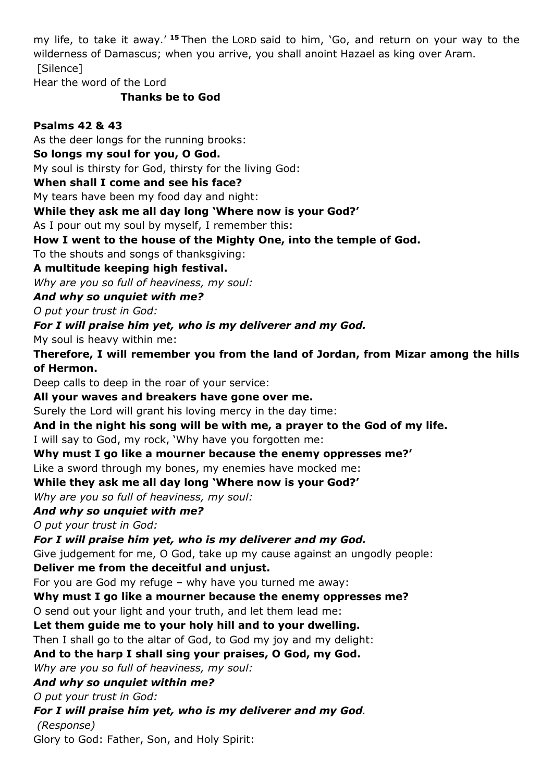my life, to take it away.' <sup>15</sup> Then the LORD said to him, 'Go, and return on your way to the wilderness of Damascus; when you arrive, you shall anoint Hazael as king over Aram. [Silence]

Hear the word of the Lord

#### Thanks be to God

#### Psalms 42 & 43

As the deer longs for the running brooks:

So longs my soul for you, O God.

My soul is thirsty for God, thirsty for the living God:

#### When shall I come and see his face?

My tears have been my food day and night:

While they ask me all day long 'Where now is your God?'

As I pour out my soul by myself, I remember this:

How I went to the house of the Mighty One, into the temple of God.

To the shouts and songs of thanksgiving:

# A multitude keeping high festival.

Why are you so full of heaviness, my soul:

#### And why so unquiet with me?

O put your trust in God:

For I will praise him yet, who is my deliverer and my God.

My soul is heavy within me:

Therefore, I will remember you from the land of Jordan, from Mizar among the hills of Hermon.

Deep calls to deep in the roar of your service:

#### All your waves and breakers have gone over me.

Surely the Lord will grant his loving mercy in the day time:

# And in the night his song will be with me, a prayer to the God of my life.

I will say to God, my rock, 'Why have you forgotten me:

Why must I go like a mourner because the enemy oppresses me?'

Like a sword through my bones, my enemies have mocked me:

While they ask me all day long 'Where now is your God?'

Why are you so full of heaviness, my soul:

# And why so unquiet with me?

O put your trust in God:

For I will praise him yet, who is my deliverer and my God.

Give judgement for me, O God, take up my cause against an ungodly people:

# Deliver me from the deceitful and unjust.

For you are God my refuge – why have you turned me away:

Why must I go like a mourner because the enemy oppresses me?

O send out your light and your truth, and let them lead me:

# Let them guide me to your holy hill and to your dwelling.

Then I shall go to the altar of God, to God my joy and my delight:

# And to the harp I shall sing your praises, O God, my God.

Why are you so full of heaviness, my soul:

# And why so unquiet within me?

O put your trust in God:

# For I will praise him yet, who is my deliverer and my God.

(Response)

Glory to God: Father, Son, and Holy Spirit: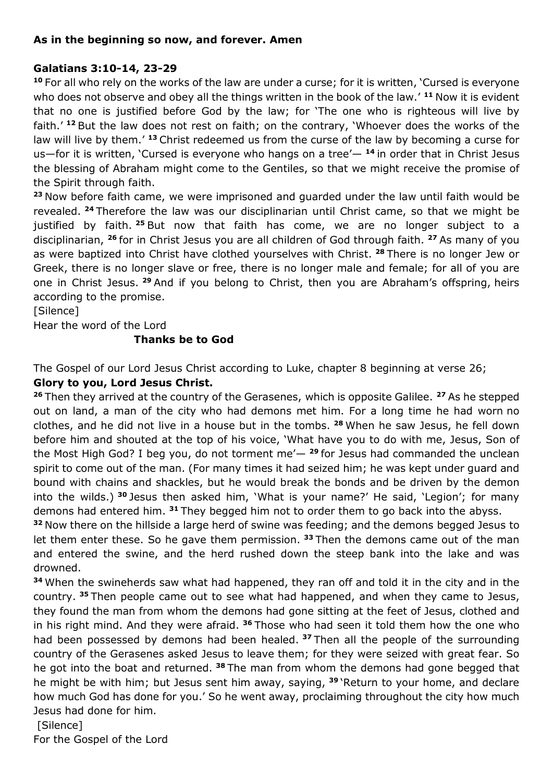# As in the beginning so now, and forever. Amen

#### Galatians 3:10-14, 23-29

<sup>10</sup> For all who rely on the works of the law are under a curse; for it is written, 'Cursed is everyone who does not observe and obey all the things written in the book of the law.' <sup>11</sup> Now it is evident that no one is justified before God by the law; for 'The one who is righteous will live by faith.' <sup>12</sup> But the law does not rest on faith; on the contrary, 'Whoever does the works of the law will live by them.<sup>' 13</sup> Christ redeemed us from the curse of the law by becoming a curse for us—for it is written, 'Cursed is everyone who hangs on a tree'—  $14$  in order that in Christ Jesus the blessing of Abraham might come to the Gentiles, so that we might receive the promise of the Spirit through faith.

<sup>23</sup> Now before faith came, we were imprisoned and guarded under the law until faith would be revealed. <sup>24</sup>Therefore the law was our disciplinarian until Christ came, so that we might be justified by faith.  $25$  But now that faith has come, we are no longer subject to a disciplinarian, <sup>26</sup> for in Christ Jesus you are all children of God through faith. <sup>27</sup> As many of you as were baptized into Christ have clothed yourselves with Christ. <sup>28</sup> There is no longer Jew or Greek, there is no longer slave or free, there is no longer male and female; for all of you are one in Christ Jesus. <sup>29</sup> And if you belong to Christ, then you are Abraham's offspring, heirs according to the promise.

[Silence]

Hear the word of the Lord

# Thanks be to God

The Gospel of our Lord Jesus Christ according to Luke, chapter 8 beginning at verse 26;

# Glory to you, Lord Jesus Christ.

<sup>26</sup> Then they arrived at the country of the Gerasenes, which is opposite Galilee. <sup>27</sup> As he stepped out on land, a man of the city who had demons met him. For a long time he had worn no clothes, and he did not live in a house but in the tombs. <sup>28</sup>When he saw Jesus, he fell down before him and shouted at the top of his voice, 'What have you to do with me, Jesus, Son of the Most High God? I beg you, do not torment me' $-$  <sup>29</sup> for Jesus had commanded the unclean spirit to come out of the man. (For many times it had seized him; he was kept under guard and bound with chains and shackles, but he would break the bonds and be driven by the demon into the wilds.)  $30$  Jesus then asked him, 'What is your name?' He said, 'Legion'; for many demons had entered him. <sup>31</sup> They begged him not to order them to go back into the abyss.

<sup>32</sup> Now there on the hillside a large herd of swine was feeding; and the demons begged Jesus to let them enter these. So he gave them permission. 33 Then the demons came out of the man and entered the swine, and the herd rushed down the steep bank into the lake and was drowned.

<sup>34</sup> When the swineherds saw what had happened, they ran off and told it in the city and in the country. <sup>35</sup> Then people came out to see what had happened, and when they came to Jesus, they found the man from whom the demons had gone sitting at the feet of Jesus, clothed and in his right mind. And they were afraid.  $36$  Those who had seen it told them how the one who had been possessed by demons had been healed.<sup>37</sup> Then all the people of the surrounding country of the Gerasenes asked Jesus to leave them; for they were seized with great fear. So he got into the boat and returned.<sup>38</sup>The man from whom the demons had gone begged that he might be with him; but Jesus sent him away, saying, <sup>39</sup> Return to your home, and declare how much God has done for you.' So he went away, proclaiming throughout the city how much Jesus had done for him.

[Silence]

For the Gospel of the Lord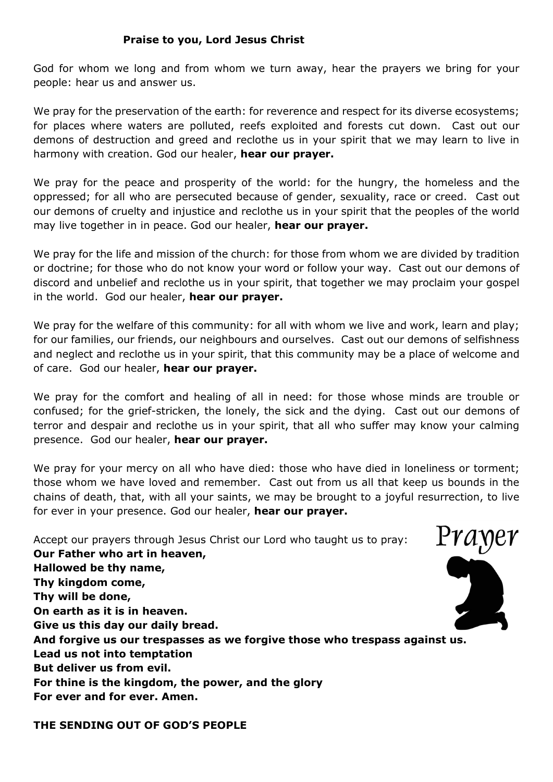#### Praise to you, Lord Jesus Christ

God for whom we long and from whom we turn away, hear the prayers we bring for your people: hear us and answer us.

We pray for the preservation of the earth: for reverence and respect for its diverse ecosystems; for places where waters are polluted, reefs exploited and forests cut down. Cast out our demons of destruction and greed and reclothe us in your spirit that we may learn to live in harmony with creation. God our healer, hear our prayer.

We pray for the peace and prosperity of the world: for the hungry, the homeless and the oppressed; for all who are persecuted because of gender, sexuality, race or creed. Cast out our demons of cruelty and injustice and reclothe us in your spirit that the peoples of the world may live together in in peace. God our healer, hear our prayer.

We pray for the life and mission of the church: for those from whom we are divided by tradition or doctrine; for those who do not know your word or follow your way. Cast out our demons of discord and unbelief and reclothe us in your spirit, that together we may proclaim your gospel in the world. God our healer, hear our prayer.

We pray for the welfare of this community: for all with whom we live and work, learn and play; for our families, our friends, our neighbours and ourselves. Cast out our demons of selfishness and neglect and reclothe us in your spirit, that this community may be a place of welcome and of care. God our healer, hear our prayer.

We pray for the comfort and healing of all in need: for those whose minds are trouble or confused; for the grief-stricken, the lonely, the sick and the dying. Cast out our demons of terror and despair and reclothe us in your spirit, that all who suffer may know your calming presence. God our healer, hear our prayer.

We pray for your mercy on all who have died: those who have died in loneliness or torment; those whom we have loved and remember. Cast out from us all that keep us bounds in the chains of death, that, with all your saints, we may be brought to a joyful resurrection, to live for ever in your presence. God our healer, hear our prayer.

Prayer Accept our prayers through Jesus Christ our Lord who taught us to pray: Our Father who art in heaven, Hallowed be thy name, Thy kingdom come, Thy will be done, On earth as it is in heaven. Give us this day our daily bread. And forgive us our trespasses as we forgive those who trespass against us. Lead us not into temptation But deliver us from evil. For thine is the kingdom, the power, and the glory For ever and for ever. Amen.

THE SENDING OUT OF GOD'S PEOPLE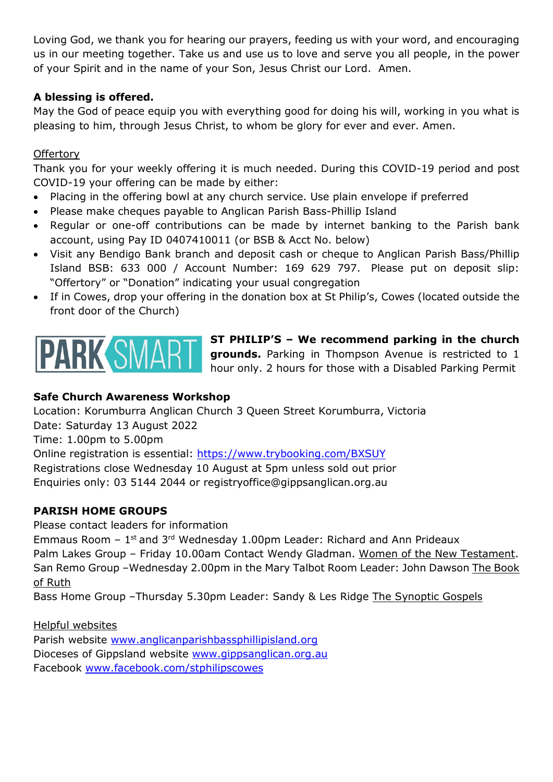Loving God, we thank you for hearing our prayers, feeding us with your word, and encouraging us in our meeting together. Take us and use us to love and serve you all people, in the power of your Spirit and in the name of your Son, Jesus Christ our Lord. Amen.

# A blessing is offered.

May the God of peace equip you with everything good for doing his will, working in you what is pleasing to him, through Jesus Christ, to whom be glory for ever and ever. Amen.

#### **Offertory**

Thank you for your weekly offering it is much needed. During this COVID-19 period and post COVID-19 your offering can be made by either:

- Placing in the offering bowl at any church service. Use plain envelope if preferred
- Please make cheques payable to Anglican Parish Bass-Phillip Island
- Regular or one-off contributions can be made by internet banking to the Parish bank account, using Pay ID 0407410011 (or BSB & Acct No. below)
- Visit any Bendigo Bank branch and deposit cash or cheque to Anglican Parish Bass/Phillip Island BSB: 633 000 / Account Number: 169 629 797. Please put on deposit slip: "Offertory" or "Donation" indicating your usual congregation
- If in Cowes, drop your offering in the donation box at St Philip's, Cowes (located outside the front door of the Church)



# ST PHILIP'S – We recommend parking in the church grounds. Parking in Thompson Avenue is restricted to 1 hour only. 2 hours for those with a Disabled Parking Permit

Safe Church Awareness Workshop

Location: Korumburra Anglican Church 3 Queen Street Korumburra, Victoria Date: Saturday 13 August 2022 Time: 1.00pm to 5.00pm Online registration is essential: https://www.trybooking.com/BXSUY Registrations close Wednesday 10 August at 5pm unless sold out prior Enquiries only: 03 5144 2044 or registryoffice@gippsanglican.org.au

# PARISH HOME GROUPS

Please contact leaders for information

Emmaus Room  $-1$ <sup>st</sup> and 3<sup>rd</sup> Wednesday 1.00pm Leader: Richard and Ann Prideaux Palm Lakes Group – Friday 10.00am Contact Wendy Gladman. Women of the New Testament. San Remo Group –Wednesday 2.00pm in the Mary Talbot Room Leader: John Dawson The Book of Ruth

Bass Home Group –Thursday 5.30pm Leader: Sandy & Les Ridge The Synoptic Gospels

# Helpful websites

Parish website www.anglicanparishbassphillipisland.org Dioceses of Gippsland website www.gippsanglican.org.au Facebook www.facebook.com/stphilipscowes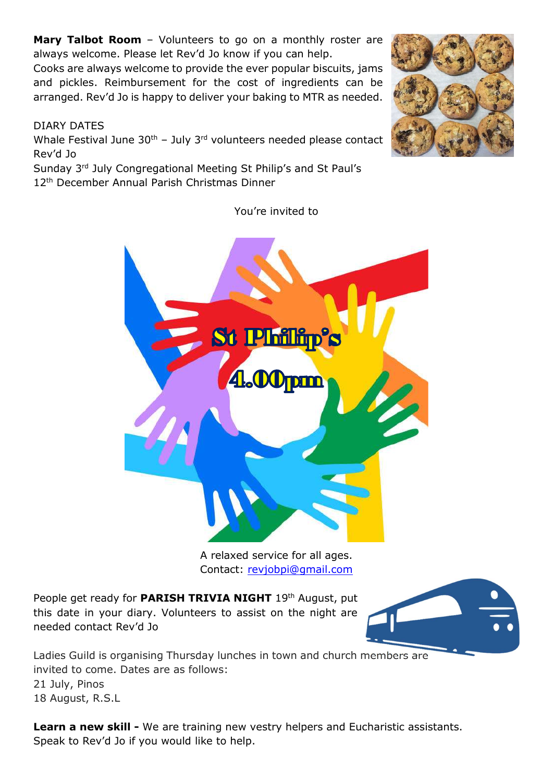Mary Talbot Room - Volunteers to go on a monthly roster are always welcome. Please let Rev'd Jo know if you can help.

Cooks are always welcome to provide the ever popular biscuits, jams and pickles. Reimbursement for the cost of ingredients can be arranged. Rev'd Jo is happy to deliver your baking to MTR as needed.

#### DIARY DATES

Whale Festival June  $30<sup>th</sup>$  – July 3<sup>rd</sup> volunteers needed please contact Rev'd Jo

Sunday 3rd July Congregational Meeting St Philip's and St Paul's 12<sup>th</sup> December Annual Parish Christmas Dinner

You're invited to



A relaxed service for all ages. Contact: revjobpi@gmail.com

People get ready for PARISH TRIVIA NIGHT 19th August, put this date in your diary. Volunteers to assist on the night are needed contact Rev'd Jo



Ladies Guild is organising Thursday lunches in town and church members are invited to come. Dates are as follows: 21 July, Pinos 18 August, R.S.L

Learn a new skill - We are training new vestry helpers and Eucharistic assistants. Speak to Rev'd Jo if you would like to help.